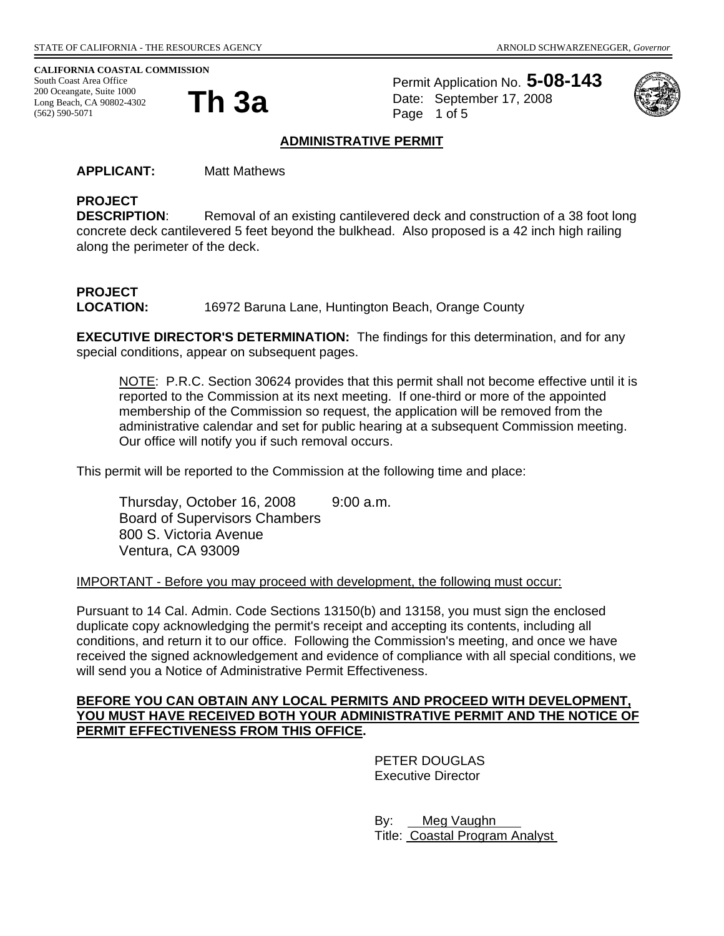#### **CALIFORNIA COASTAL COMMISSION**

South Coast Area Office 200 Oceangate, Suite 1000<br>Long Beach, CA 90802-4302<br>**Th 3a** Long Beach, CA 90802-4302 (562) 590-5071

Permit Application No. **5-08-143** Date: September 17, 2008 Page 1 of 5



#### **ADMINISTRATIVE PERMIT**

**APPLICANT:** Matt Mathews

## **PROJECT**

**DESCRIPTION:** Removal of an existing cantilevered deck and construction of a 38 foot long concrete deck cantilevered 5 feet beyond the bulkhead. Also proposed is a 42 inch high railing along the perimeter of the deck.

# **PROJECT**

**LOCATION:** 16972 Baruna Lane, Huntington Beach, Orange County

**EXECUTIVE DIRECTOR'S DETERMINATION:** The findings for this determination, and for any special conditions, appear on subsequent pages.

NOTE: P.R.C. Section 30624 provides that this permit shall not become effective until it is reported to the Commission at its next meeting. If one-third or more of the appointed membership of the Commission so request, the application will be removed from the administrative calendar and set for public hearing at a subsequent Commission meeting. Our office will notify you if such removal occurs.

This permit will be reported to the Commission at the following time and place:

Thursday, October 16, 2008 9:00 a.m. Board of Supervisors Chambers 800 S. Victoria Avenue Ventura, CA 93009

#### IMPORTANT - Before you may proceed with development, the following must occur:

Pursuant to 14 Cal. Admin. Code Sections 13150(b) and 13158, you must sign the enclosed duplicate copy acknowledging the permit's receipt and accepting its contents, including all conditions, and return it to our office. Following the Commission's meeting, and once we have received the signed acknowledgement and evidence of compliance with all special conditions, we will send you a Notice of Administrative Permit Effectiveness.

#### **BEFORE YOU CAN OBTAIN ANY LOCAL PERMITS AND PROCEED WITH DEVELOPMENT, YOU MUST HAVE RECEIVED BOTH YOUR ADMINISTRATIVE PERMIT AND THE NOTICE OF PERMIT EFFECTIVENESS FROM THIS OFFICE.**

 PETER DOUGLAS Executive Director

By: Meg Vaughn Title: Coastal Program Analyst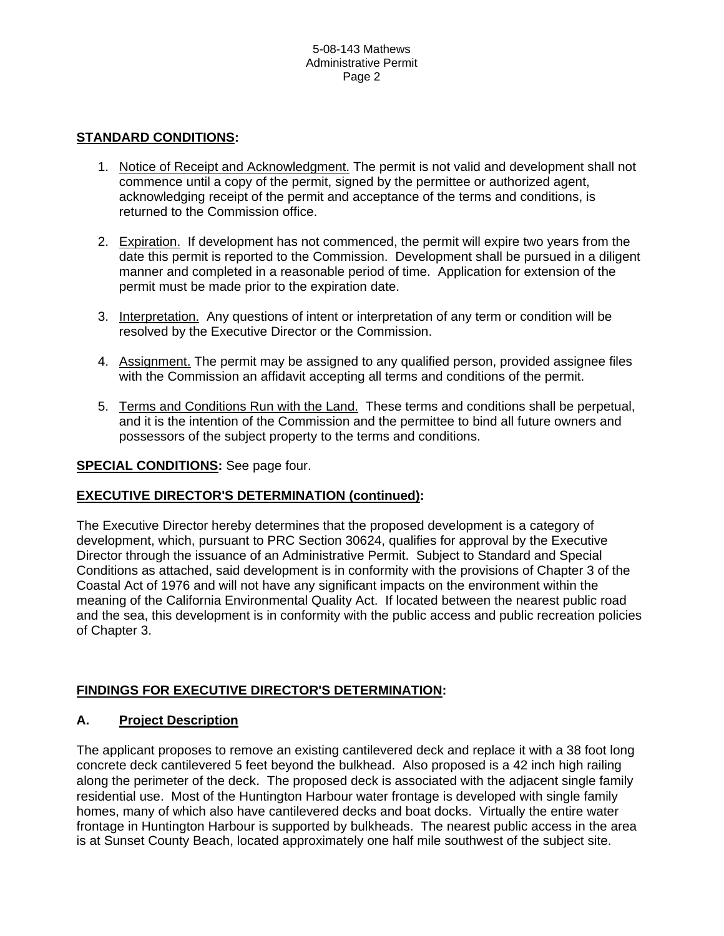#### **STANDARD CONDITIONS:**

- 1. Notice of Receipt and Acknowledgment. The permit is not valid and development shall not commence until a copy of the permit, signed by the permittee or authorized agent, acknowledging receipt of the permit and acceptance of the terms and conditions, is returned to the Commission office.
- 2. Expiration. If development has not commenced, the permit will expire two years from the date this permit is reported to the Commission. Development shall be pursued in a diligent manner and completed in a reasonable period of time. Application for extension of the permit must be made prior to the expiration date.
- 3. Interpretation. Any questions of intent or interpretation of any term or condition will be resolved by the Executive Director or the Commission.
- 4. Assignment. The permit may be assigned to any qualified person, provided assignee files with the Commission an affidavit accepting all terms and conditions of the permit.
- 5. Terms and Conditions Run with the Land. These terms and conditions shall be perpetual, and it is the intention of the Commission and the permittee to bind all future owners and possessors of the subject property to the terms and conditions.

#### **SPECIAL CONDITIONS:** See page four.

#### **EXECUTIVE DIRECTOR'S DETERMINATION (continued):**

The Executive Director hereby determines that the proposed development is a category of development, which, pursuant to PRC Section 30624, qualifies for approval by the Executive Director through the issuance of an Administrative Permit. Subject to Standard and Special Conditions as attached, said development is in conformity with the provisions of Chapter 3 of the Coastal Act of 1976 and will not have any significant impacts on the environment within the meaning of the California Environmental Quality Act. If located between the nearest public road and the sea, this development is in conformity with the public access and public recreation policies of Chapter 3.

#### **FINDINGS FOR EXECUTIVE DIRECTOR'S DETERMINATION:**

#### **A. Project Description**

The applicant proposes to remove an existing cantilevered deck and replace it with a 38 foot long concrete deck cantilevered 5 feet beyond the bulkhead. Also proposed is a 42 inch high railing along the perimeter of the deck. The proposed deck is associated with the adjacent single family residential use. Most of the Huntington Harbour water frontage is developed with single family homes, many of which also have cantilevered decks and boat docks. Virtually the entire water frontage in Huntington Harbour is supported by bulkheads. The nearest public access in the area is at Sunset County Beach, located approximately one half mile southwest of the subject site.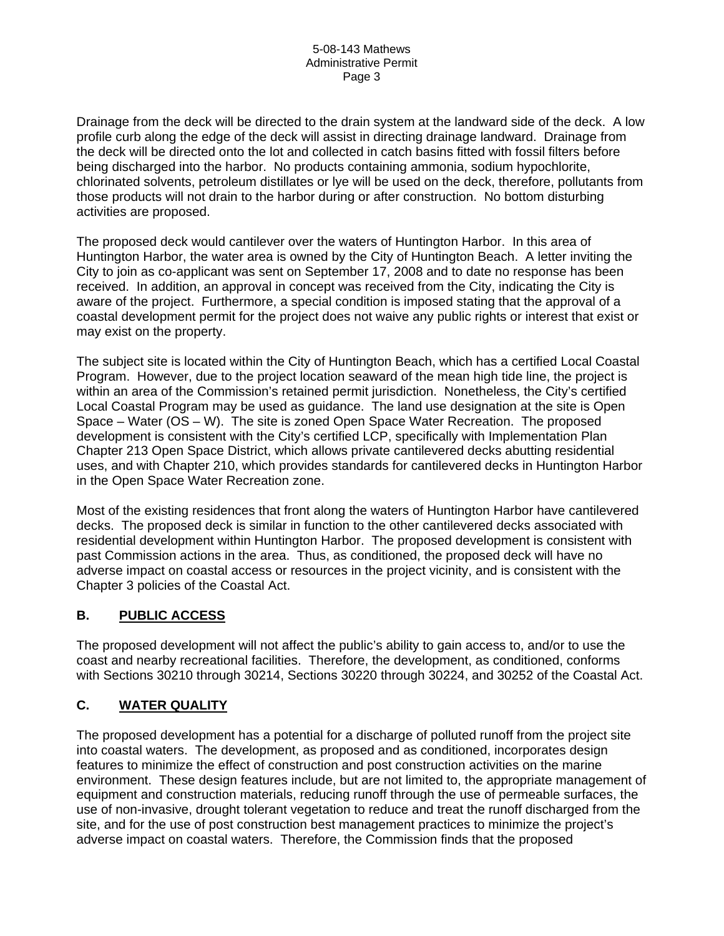Drainage from the deck will be directed to the drain system at the landward side of the deck. A low profile curb along the edge of the deck will assist in directing drainage landward. Drainage from the deck will be directed onto the lot and collected in catch basins fitted with fossil filters before being discharged into the harbor. No products containing ammonia, sodium hypochlorite, chlorinated solvents, petroleum distillates or lye will be used on the deck, therefore, pollutants from those products will not drain to the harbor during or after construction. No bottom disturbing activities are proposed.

The proposed deck would cantilever over the waters of Huntington Harbor. In this area of Huntington Harbor, the water area is owned by the City of Huntington Beach. A letter inviting the City to join as co-applicant was sent on September 17, 2008 and to date no response has been received. In addition, an approval in concept was received from the City, indicating the City is aware of the project. Furthermore, a special condition is imposed stating that the approval of a coastal development permit for the project does not waive any public rights or interest that exist or may exist on the property.

The subject site is located within the City of Huntington Beach, which has a certified Local Coastal Program. However, due to the project location seaward of the mean high tide line, the project is within an area of the Commission's retained permit jurisdiction. Nonetheless, the City's certified Local Coastal Program may be used as guidance. The land use designation at the site is Open Space – Water (OS – W). The site is zoned Open Space Water Recreation. The proposed development is consistent with the City's certified LCP, specifically with Implementation Plan Chapter 213 Open Space District, which allows private cantilevered decks abutting residential uses, and with Chapter 210, which provides standards for cantilevered decks in Huntington Harbor in the Open Space Water Recreation zone.

Most of the existing residences that front along the waters of Huntington Harbor have cantilevered decks. The proposed deck is similar in function to the other cantilevered decks associated with residential development within Huntington Harbor. The proposed development is consistent with past Commission actions in the area. Thus, as conditioned, the proposed deck will have no adverse impact on coastal access or resources in the project vicinity, and is consistent with the Chapter 3 policies of the Coastal Act.

## **B. PUBLIC ACCESS**

The proposed development will not affect the public's ability to gain access to, and/or to use the coast and nearby recreational facilities. Therefore, the development, as conditioned, conforms with Sections 30210 through 30214, Sections 30220 through 30224, and 30252 of the Coastal Act.

## **C. WATER QUALITY**

The proposed development has a potential for a discharge of polluted runoff from the project site into coastal waters. The development, as proposed and as conditioned, incorporates design features to minimize the effect of construction and post construction activities on the marine environment. These design features include, but are not limited to, the appropriate management of equipment and construction materials, reducing runoff through the use of permeable surfaces, the use of non-invasive, drought tolerant vegetation to reduce and treat the runoff discharged from the site, and for the use of post construction best management practices to minimize the project's adverse impact on coastal waters. Therefore, the Commission finds that the proposed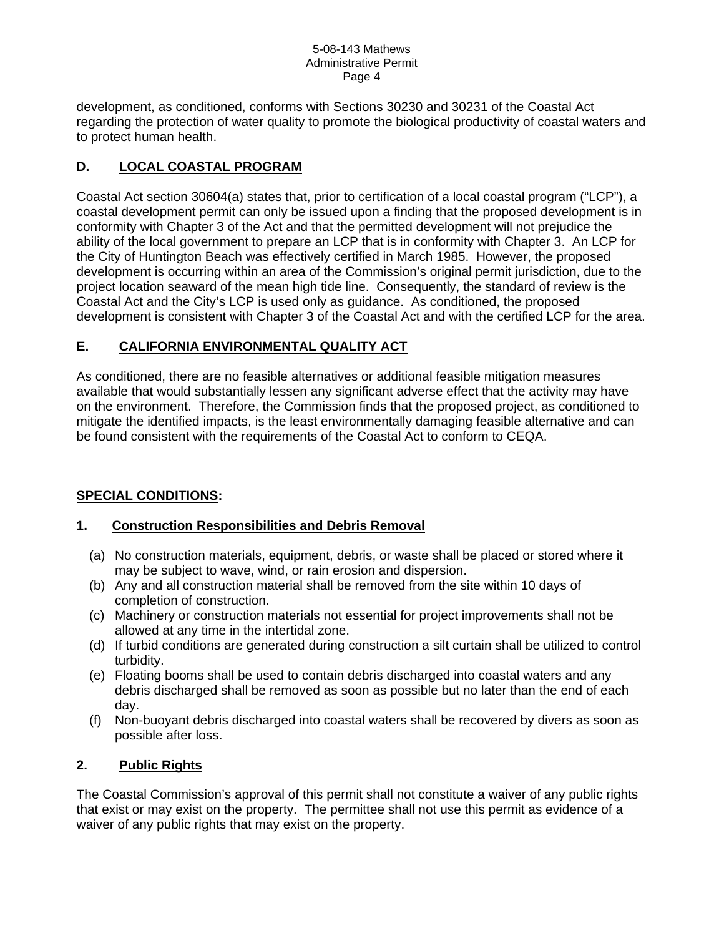#### 5-08-143 Mathews Administrative Permit Page 4

development, as conditioned, conforms with Sections 30230 and 30231 of the Coastal Act regarding the protection of water quality to promote the biological productivity of coastal waters and to protect human health.

## **D. LOCAL COASTAL PROGRAM**

Coastal Act section 30604(a) states that, prior to certification of a local coastal program ("LCP"), a coastal development permit can only be issued upon a finding that the proposed development is in conformity with Chapter 3 of the Act and that the permitted development will not prejudice the ability of the local government to prepare an LCP that is in conformity with Chapter 3. An LCP for the City of Huntington Beach was effectively certified in March 1985. However, the proposed development is occurring within an area of the Commission's original permit jurisdiction, due to the project location seaward of the mean high tide line. Consequently, the standard of review is the Coastal Act and the City's LCP is used only as guidance. As conditioned, the proposed development is consistent with Chapter 3 of the Coastal Act and with the certified LCP for the area.

## **E. CALIFORNIA ENVIRONMENTAL QUALITY ACT**

As conditioned, there are no feasible alternatives or additional feasible mitigation measures available that would substantially lessen any significant adverse effect that the activity may have on the environment. Therefore, the Commission finds that the proposed project, as conditioned to mitigate the identified impacts, is the least environmentally damaging feasible alternative and can be found consistent with the requirements of the Coastal Act to conform to CEQA.

## **SPECIAL CONDITIONS:**

## **1. Construction Responsibilities and Debris Removal**

- (a) No construction materials, equipment, debris, or waste shall be placed or stored where it may be subject to wave, wind, or rain erosion and dispersion.
- (b) Any and all construction material shall be removed from the site within 10 days of completion of construction.
- (c) Machinery or construction materials not essential for project improvements shall not be allowed at any time in the intertidal zone.
- (d) If turbid conditions are generated during construction a silt curtain shall be utilized to control turbidity.
- (e) Floating booms shall be used to contain debris discharged into coastal waters and any debris discharged shall be removed as soon as possible but no later than the end of each day.
- (f) Non-buoyant debris discharged into coastal waters shall be recovered by divers as soon as possible after loss.

## **2. Public Rights**

The Coastal Commission's approval of this permit shall not constitute a waiver of any public rights that exist or may exist on the property. The permittee shall not use this permit as evidence of a waiver of any public rights that may exist on the property.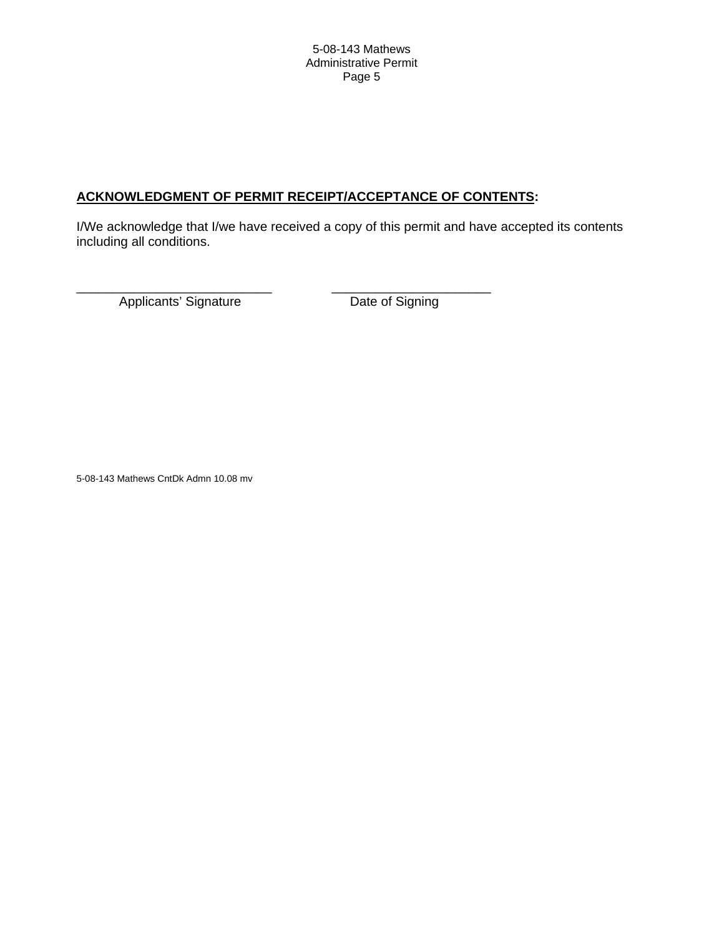## **ACKNOWLEDGMENT OF PERMIT RECEIPT/ACCEPTANCE OF CONTENTS:**

I/We acknowledge that I/we have received a copy of this permit and have accepted its contents including all conditions.

Applicants' Signature Date of Signing

\_\_\_\_\_\_\_\_\_\_\_\_\_\_\_\_\_\_\_\_\_\_\_\_\_\_\_ \_\_\_\_\_\_\_\_\_\_\_\_\_\_\_\_\_\_\_\_\_\_

5-08-143 Mathews CntDk Admn 10.08 mv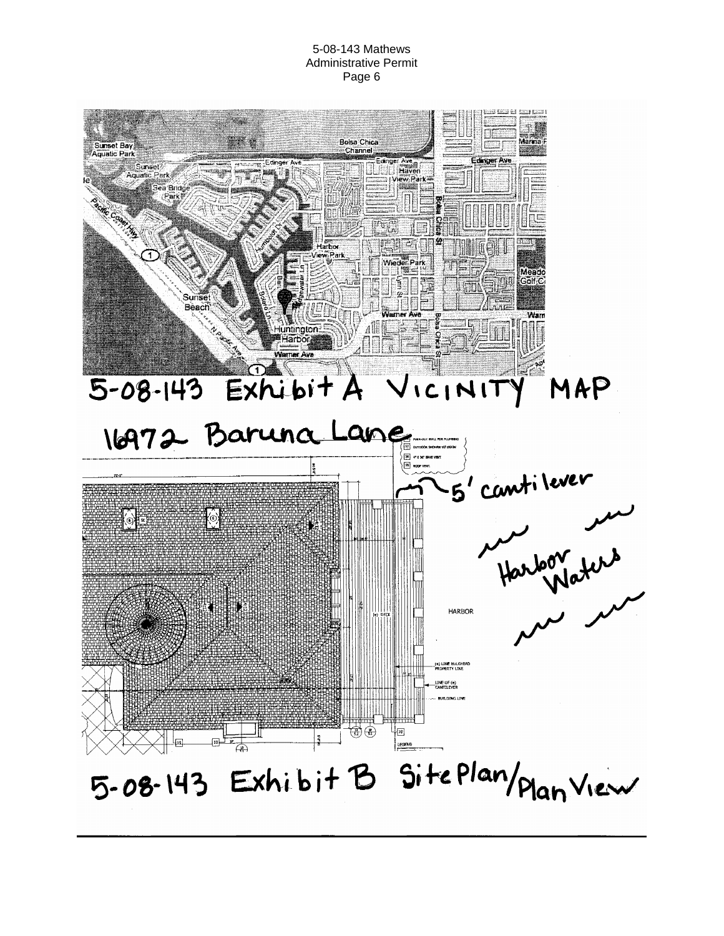5-08-143 Mathews Administrative Permit Page 6